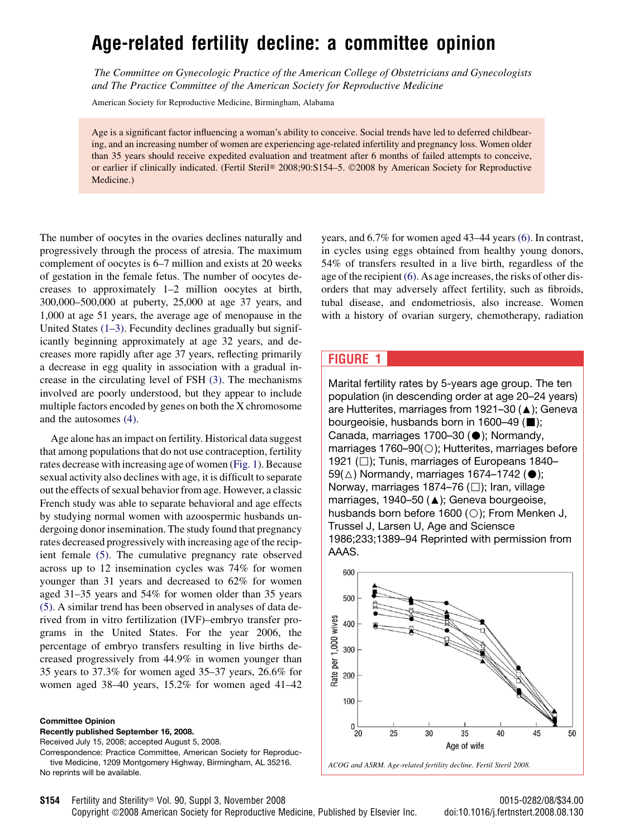## Age-related fertility decline: a committee opinion

The Committee on Gynecologic Practice of the American College of Obstetricians and Gynecologists and The Practice Committee of the American Society for Reproductive Medicine

American Society for Reproductive Medicine, Birmingham, Alabama

Age is a significant factor influencing a woman's ability to conceive. Social trends have led to deferred childbearing, and an increasing number of women are experiencing age-related infertility and pregnancy loss. Women older than 35 years should receive expedited evaluation and treatment after 6 months of failed attempts to conceive, or earlier if clinically indicated. (Fertil Steril® 2008;90:S154-5. ©2008 by American Society for Reproductive Medicine.)

The number of oocytes in the ovaries declines naturally and progressively through the process of atresia. The maximum complement of oocytes is 6–7 million and exists at 20 weeks of gestation in the female fetus. The number of oocytes decreases to approximately 1–2 million oocytes at birth, 300,000–500,000 at puberty, 25,000 at age 37 years, and 1,000 at age 51 years, the average age of menopause in the United States [\(1–3\).](#page-1-0) Fecundity declines gradually but significantly beginning approximately at age 32 years, and decreases more rapidly after age 37 years, reflecting primarily a decrease in egg quality in association with a gradual increase in the circulating level of FSH [\(3\).](#page-1-0) The mechanisms involved are poorly understood, but they appear to include multiple factors encoded by genes on both the X chromosome and the autosomes [\(4\).](#page-1-0)

Age alone has an impact on fertility. Historical data suggest that among populations that do not use contraception, fertility rates decrease with increasing age of women (Fig. 1). Because sexual activity also declines with age, it is difficult to separate out the effects of sexual behavior from age. However, a classic French study was able to separate behavioral and age effects by studying normal women with azoospermic husbands undergoing donor insemination. The study found that pregnancy rates decreased progressively with increasing age of the recipient female [\(5\)](#page-1-0). The cumulative pregnancy rate observed across up to 12 insemination cycles was 74% for women younger than 31 years and decreased to 62% for women aged 31–35 years and 54% for women older than 35 years [\(5\).](#page-1-0) A similar trend has been observed in analyses of data derived from in vitro fertilization (IVF)–embryo transfer programs in the United States. For the year 2006, the percentage of embryo transfers resulting in live births decreased progressively from 44.9% in women younger than 35 years to 37.3% for women aged 35–37 years, 26.6% for women aged 38–40 years, 15.2% for women aged 41–42

## Committee Opinion

Recently published September 16, 2008.

Received July 15, 2008; accepted August 5, 2008. Correspondence: Practice Committee, American Society for Reproductive Medicine, 1209 Montgomery Highway, Birmingham, AL 35216. No reprints will be available.

years, and 6.7% for women aged 43–44 years [\(6\).](#page-1-0) In contrast, in cycles using eggs obtained from healthy young donors, 54% of transfers resulted in a live birth, regardless of the age of the recipient[\(6\).](#page-1-0) As age increases, the risks of other disorders that may adversely affect fertility, such as fibroids, tubal disease, and endometriosis, also increase. Women with a history of ovarian surgery, chemotherapy, radiation

## FIGURE 1

Marital fertility rates by 5-years age group. The ten population (in descending order at age 20–24 years) are Hutterites, marriages from 1921-30 ( $\triangle$ ); Geneva bourgeoisie, husbands born in 1600-49  $($ , Canada, marriages 1700–30 (●); Normandy, marriages 1760–90 $(O)$ ; Hutterites, marriages before 1921 ( $\Box$ ); Tunis, marriages of Europeans 1840– 59( $\triangle$ ) Normandy, marriages 1674–1742 ( $\bullet$ ); Norway, marriages 1874–76 ( $\Box$ ); Iran, village marriages, 1940–50 ( $\triangle$ ); Geneva bourgeoise, husbands born before 1600 ( $\bigcirc$ ); From Menken J, Trussel J, Larsen U, Age and Sciensce 1986;233;1389–94 Reprinted with permission from AAAS.



ACOG and ASRM. Age-related fertility decline. Fertil Steril 2008.

Copyright ©2008 American Society for Reproductive Medicine, Published by Elsevier Inc. doi:10.1016/j.fertnstert.2008.08.130